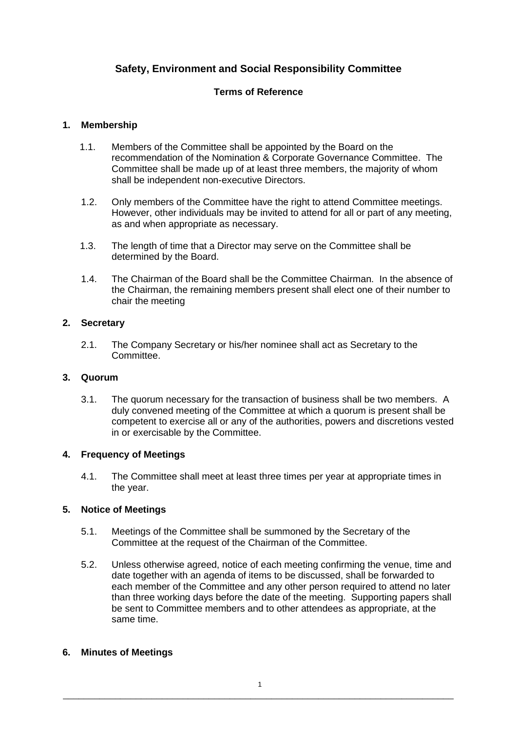# **Safety, Environment and Social Responsibility Committee**

# **Terms of Reference**

# **1. Membership**

- 1.1. Members of the Committee shall be appointed by the Board on the recommendation of the Nomination & Corporate Governance Committee. The Committee shall be made up of at least three members, the majority of whom shall be independent non-executive Directors.
- 1.2. Only members of the Committee have the right to attend Committee meetings. However, other individuals may be invited to attend for all or part of any meeting, as and when appropriate as necessary.
- 1.3. The length of time that a Director may serve on the Committee shall be determined by the Board.
- 1.4. The Chairman of the Board shall be the Committee Chairman. In the absence of the Chairman, the remaining members present shall elect one of their number to chair the meeting

## **2. Secretary**

2.1. The Company Secretary or his/her nominee shall act as Secretary to the Committee.

#### **3. Quorum**

3.1. The quorum necessary for the transaction of business shall be two members. A duly convened meeting of the Committee at which a quorum is present shall be competent to exercise all or any of the authorities, powers and discretions vested in or exercisable by the Committee.

### **4. Frequency of Meetings**

4.1. The Committee shall meet at least three times per year at appropriate times in the year.

# **5. Notice of Meetings**

- 5.1. Meetings of the Committee shall be summoned by the Secretary of the Committee at the request of the Chairman of the Committee.
- 5.2. Unless otherwise agreed, notice of each meeting confirming the venue, time and date together with an agenda of items to be discussed, shall be forwarded to each member of the Committee and any other person required to attend no later than three working days before the date of the meeting. Supporting papers shall be sent to Committee members and to other attendees as appropriate, at the same time.

#### **6. Minutes of Meetings**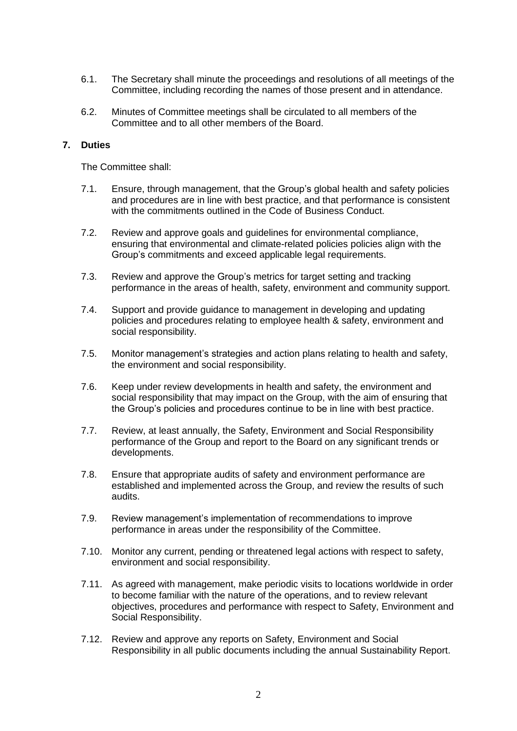- 6.1. The Secretary shall minute the proceedings and resolutions of all meetings of the Committee, including recording the names of those present and in attendance.
- 6.2. Minutes of Committee meetings shall be circulated to all members of the Committee and to all other members of the Board.

#### **7. Duties**

The Committee shall:

- 7.1. Ensure, through management, that the Group's global health and safety policies and procedures are in line with best practice, and that performance is consistent with the commitments outlined in the Code of Business Conduct.
- 7.2. Review and approve goals and guidelines for environmental compliance, ensuring that environmental and climate-related policies policies align with the Group's commitments and exceed applicable legal requirements.
- 7.3. Review and approve the Group's metrics for target setting and tracking performance in the areas of health, safety, environment and community support.
- 7.4. Support and provide guidance to management in developing and updating policies and procedures relating to employee health & safety, environment and social responsibility.
- 7.5. Monitor management's strategies and action plans relating to health and safety, the environment and social responsibility.
- 7.6. Keep under review developments in health and safety, the environment and social responsibility that may impact on the Group, with the aim of ensuring that the Group's policies and procedures continue to be in line with best practice.
- 7.7. Review, at least annually, the Safety, Environment and Social Responsibility performance of the Group and report to the Board on any significant trends or developments.
- 7.8. Ensure that appropriate audits of safety and environment performance are established and implemented across the Group, and review the results of such audits.
- 7.9. Review management's implementation of recommendations to improve performance in areas under the responsibility of the Committee.
- 7.10. Monitor any current, pending or threatened legal actions with respect to safety, environment and social responsibility.
- 7.11. As agreed with management, make periodic visits to locations worldwide in order to become familiar with the nature of the operations, and to review relevant objectives, procedures and performance with respect to Safety, Environment and Social Responsibility.
- 7.12. Review and approve any reports on Safety, Environment and Social Responsibility in all public documents including the annual Sustainability Report.